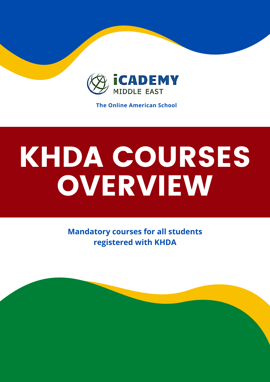

**The Online American School**

# KHDA COURSES OVERVIEW

**Mandatory courses for all students registered with KHDA**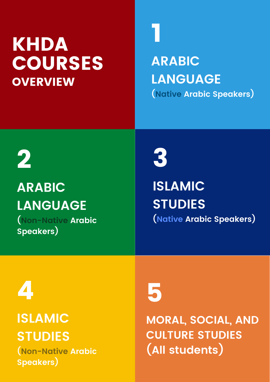### **OVERVIEW KHDA** COURSES

**ARABIC LANGUAGE (Native Arabic Speakers)**

2

### **ARABIC LANGUAGE (Non-Native Arabic**

**Speakers)**



**ISLAMIC STUDIES (Native Arabic Speakers)**

4

**ISLAMIC STUDIES**

**(Non-Native Arabic Speakers)**

## 5

**MORAL, SOCIAL, AND CULTURE STUDIES (All students)**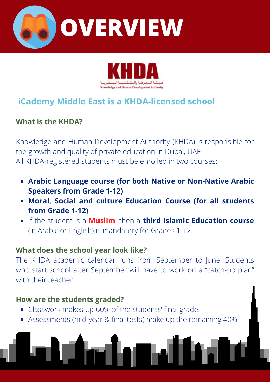



#### **iCademy Middle East is a KHDA-licensed school**

#### **What is the KHDA?**

Knowledge and Human Development Authority (KHDA) is responsible for the growth and quality of private education in Dubai, UAE. All KHDA-registered students must be enrolled in two courses:

- **Arabic Language course (for both Native or Non-Native Arabic Speakers from Grade 1-12)**
- **Moral, Social and culture Education Course (for all students from Grade 1-12)**
- If the student is a **Muslim**, then a **third Islamic Education course** (in Arabic or English) is mandatory for Grades 1-12.

#### **What does the school year look like?**

The KHDA academic calendar runs from September to June. Students who start school after September will have to work on a "catch-up plan" with their teacher.

#### **How are the students graded?**

- Classwork makes up 60% of the students' final grade.
- Assessments (mid-year & final tests) make up the remaining 40%.

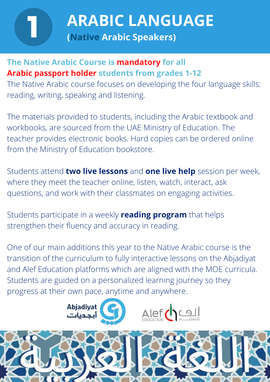# **ARABIC LANGUAGE**<br>(Native Arabic Speakers)

#### **The Native Arabic Course is mandatory for all Arabic passport holder students from grades 1-12**

The Native Arabic course focuses on developing the four language skills: reading, writing, speaking and listening.

The materials provided to students, including the Arabic textbook and workbooks, are sourced from the UAE Ministry of Education. The teacher provides electronic books. Hard copies can be ordered online from the Ministry of Education bookstore.

Students attend **two live lessons** and **one live help** session per week, where they meet the teacher online, listen, watch, interact, ask questions, and work with their classmates on engaging activities.

Students participate in a weekly **reading program** that helps strengthen their fluency and accuracy in reading.

One of our main additions this year to the Native Arabic course is the transition of the curriculum to fully interactive lessons on the Abjadiyat and Alef Education platforms which are aligned with the MOE curricula. Students are guided on a personalized learning journey so they progress at their own pace, anytime and anywhere.



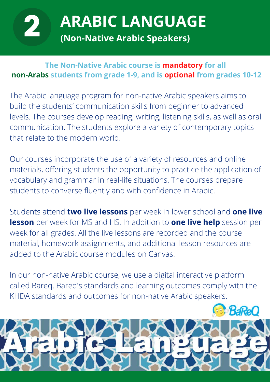**ARABIC LANGUAGE**<br>(Non-Native Arabic Speakers)

#### **The Non-Native Arabic course is mandatory for all non-Arabs students from grade 1-9, and is optional from grades 10-12**

The Arabic language program for non-native Arabic speakers aims to build the students' communication skills from beginner to advanced levels. The courses develop reading, writing, listening skills, as well as oral communication. The students explore a variety of contemporary topics that relate to the modern world.

Our courses incorporate the use of a variety of resources and online materials, offering students the opportunity to practice the application of vocabulary and grammar in real-life situations. The courses prepare students to converse fluently and with confidence in Arabic.

Students attend **two live lessons** per week in lower school and **one live lesson** per week for MS and HS. In addition to **one live help** session per week for all grades. All the live lessons are recorded and the course material, homework assignments, and additional lesson resources are added to the Arabic course modules on Canvas.

In our non-native Arabic course, we use a digital interactive platform called Bareq. Bareq's standards and learning outcomes comply with the KHDA standards and outcomes for non-native Arabic speakers.

**BaReC**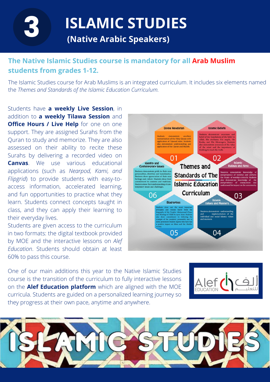**ISLAMIC STUDIES**<br>(Native Arabic Speakers)

#### **The Native Islamic Studies course is mandatory for all Arab Muslim students from grades 1-12.**

The Islamic Studies course for Arab Muslims is an integrated curriculum. It includes six elements named the *Themes and Standards of the Islamic Education Curriculum.*

Students have **a weekly Live Session**, in addition to **a weekly Tilawa Session** and **Office Hours / Live Help** for one on one support. They are assigned Surahs from the Quran to study and memorize. They are also assessed on their ability to recite these Surahs by delivering a recorded video on **Canvas**. We use various educational applications (such as *Nearpod, Kami, and Flipgrid*) to provide students with easy-toaccess information, accelerated learning, and fun opportunities to practice what they learn. Students connect concepts taught in class, and they can apply their learning to their everyday lives.

Students are given access to the curriculum in two formats: the digital textbook provided by MOE and the interactive lessons on *Alef Education*. Students should obtain at least 60% to pass this course.



One of our main additions this year to the Native Islamic Studies course is the transition of the curriculum to fully interactive lessons on the **Alef Education platform** which are aligned with the MOE curricula. Students are guided on a personalized learning journey so they progress at their own pace, anytime and anywhere.



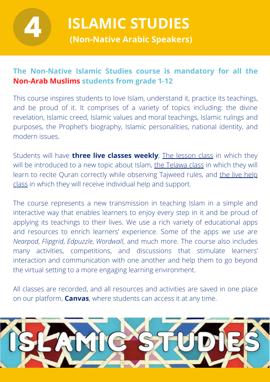

**ISLAMIC STUDIES**<br>(Non-Native Arabic Speakers)

#### **The Non-Native Islamic Studies course is mandatory for all the Non-Arab Muslims students from grade 1-12**

This course inspires students to love Islam, understand it, practice its teachings, and be proud of it. It comprises of a variety of topics including: the divine revelation, Islamic creed, Islamic values and moral teachings, Islamic rulings and purposes, the Prophet's biography, Islamic personalities, national identity, and modern issues.

Students will have **three live classes weekly**; The lesson class in which they will be introduced to a new topic about Islam, the Telawa class in which they will learn to recite Quran correctly while observing Tajweed rules, and the live help class in which they will receive individual help and support.

The course represents a new transmission in teaching Islam in a simple and interactive way that enables learners to enjoy every step in it and be proud of applying its teachings to their lives. We use a rich variety of educational apps and resources to enrich learners' experience. Some of the apps we use are *Nearpod*, *Flipgrid*, *Edpuzzle*, *Wordwall*, and much more. The course also includes many activities, competitions, and discussions that stimulate learners' interaction and communication with one another and help them to go beyond the virtual setting to a more engaging learning environment.

All classes are recorded, and all resources and activities are saved in one place on our platform, **Canvas**, where students can access it at any time.

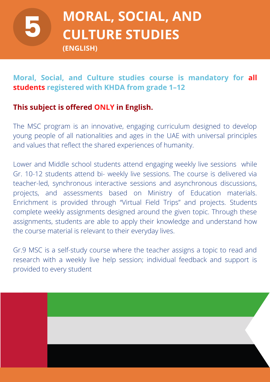# 5

### **MORAL, SOCIAL, AND CULTURE STUDIES**

**(ENGLISH)**

#### **Moral, Social, and Culture studies course is mandatory for all students registered with KHDA from grade 1–12**

#### **This subject is offered ONLY in English.**

The MSC program is an innovative, engaging curriculum designed to develop young people of all nationalities and ages in the UAE with universal principles and values that reflect the shared experiences of humanity.

Lower and Middle school students attend engaging weekly live sessions while Gr. 10-12 students attend bi- weekly live sessions. The course is delivered via teacher-led, synchronous interactive sessions and asynchronous discussions, projects, and assessments based on Ministry of Education materials. Enrichment is provided through "Virtual Field Trips" and projects. Students complete weekly assignments designed around the given topic. Through these assignments, students are able to apply their knowledge and understand how the course material is relevant to their everyday lives.

Gr.9 MSC is a self-study course where the teacher assigns a topic to read and research with a weekly live help session; individual feedback and support is provided to every student